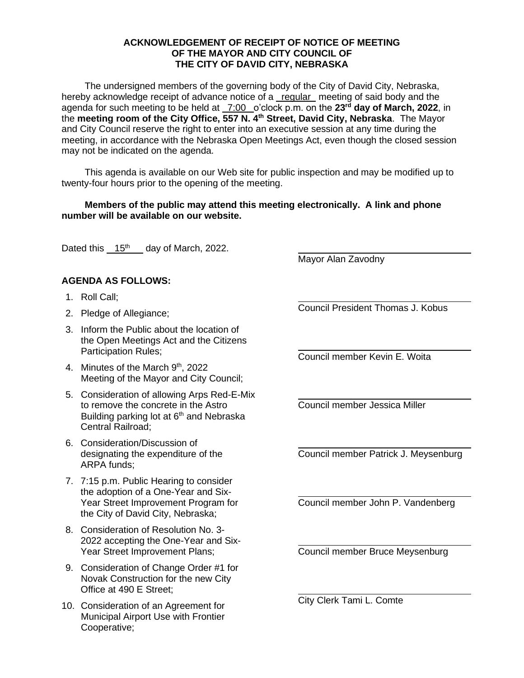## **ACKNOWLEDGEMENT OF RECEIPT OF NOTICE OF MEETING OF THE MAYOR AND CITY COUNCIL OF THE CITY OF DAVID CITY, NEBRASKA**

The undersigned members of the governing body of the City of David City, Nebraska, hereby acknowledge receipt of advance notice of a regular meeting of said body and the agenda for such meeting to be held at \_7:00 \_o'clock p.m. on the 23<sup>rd</sup> day of March, 2022, in the **meeting room of the City Office, 557 N. 4th Street, David City, Nebraska**. The Mayor and City Council reserve the right to enter into an executive session at any time during the meeting, in accordance with the Nebraska Open Meetings Act, even though the closed session may not be indicated on the agenda.

This agenda is available on our Web site for public inspection and may be modified up to twenty-four hours prior to the opening of the meeting.

## **Members of the public may attend this meeting electronically. A link and phone number will be available on our website.**

Dated this  $15<sup>th</sup>$  day of March, 2022.

**AGENDA AS FOLLOWS:**

- 1. Roll Call;
- 2. Pledge of Allegiance;
- 3. Inform the Public about the location of the Open Meetings Act and the Citizens Participation Rules;
- 4. Minutes of the March 9<sup>th</sup>, 2022 Meeting of the Mayor and City Council;
- 5. Consideration of allowing Arps Red-E-Mix to remove the concrete in the Astro Building parking lot at 6<sup>th</sup> and Nebraska Central Railroad;
- 6. Consideration/Discussion of designating the expenditure of the ARPA funds;
- 7. 7:15 p.m. Public Hearing to consider the adoption of a One-Year and Six-Year Street Improvement Program for the City of David City, Nebraska;
- 8. Consideration of Resolution No. 3- 2022 accepting the One-Year and Six-Year Street Improvement Plans;
- 9. Consideration of Change Order #1 for Novak Construction for the new City Office at 490 E Street;
- 10. Consideration of an Agreement for Municipal Airport Use with Frontier Cooperative;

Mayor Alan Zavodny

Council President Thomas J. Kobus

Council member Kevin E. Woita

Council member Jessica Miller

Council member Patrick J. Meysenburg

Council member John P. Vandenberg

Council member Bruce Meysenburg

City Clerk Tami L. Comte